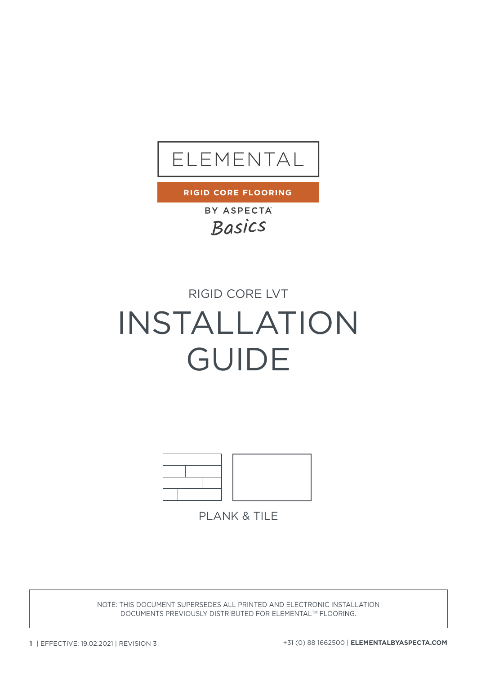

**RIGID CORE FLOORING** 

BY ASPECTA Basics

## RIGID CORE LVT

# INSTALLATION GUIDE



**PLANK & TILE** 

NOTE: THIS DOCUMENT SUPERSEDES ALL PRINTED AND ELECTRONIC INSTALLATION DOCUMENTS PREVIOUSLY DISTRIBUTED FOR ELEMENTALTM FLOORING.

**1** | EFFECTIVE: 19.02.2021 | REVISION 3 +31 (0) 88 1662500 | **ELEMENTALBYASPECTA.COM**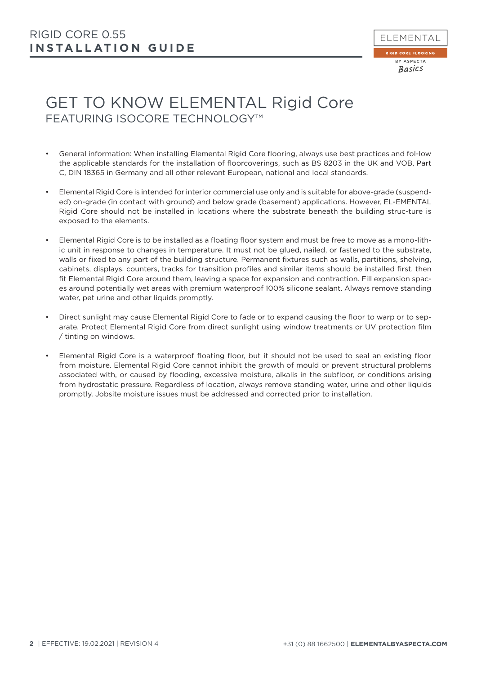

# GET TO KNOW ELEMENTAL Rigid Core FEATURING ISOCORE TECHNOLOGY™

- General information: When installing Elemental Rigid Core flooring, always use best practices and fol-low the applicable standards for the installation of floorcoverings, such as BS 8203 in the UK and VOB, Part C, DIN 18365 in Germany and all other relevant European, national and local standards.
- Elemental Rigid Core is intended for interior commercial use only and is suitable for above-grade (suspended) on-grade (in contact with ground) and below grade (basement) applications. However, EL-EMENTAL Rigid Core should not be installed in locations where the substrate beneath the building struc-ture is exposed to the elements.
- Elemental Rigid Core is to be installed as a floating floor system and must be free to move as a mono-lithic unit in response to changes in temperature. It must not be glued, nailed, or fastened to the substrate, walls or fixed to any part of the building structure. Permanent fixtures such as walls, partitions, shelving, cabinets, displays, counters, tracks for transition profiles and similar items should be installed first, then fit Elemental Rigid Core around them, leaving a space for expansion and contraction. Fill expansion spaces around potentially wet areas with premium waterproof 100% silicone sealant. Always remove standing water, pet urine and other liquids promptly.
- Direct sunlight may cause Elemental Rigid Core to fade or to expand causing the floor to warp or to separate. Protect Elemental Rigid Core from direct sunlight using window treatments or UV protection film / tinting on windows.
- Elemental Rigid Core is a waterproof floating floor, but it should not be used to seal an existing floor from moisture. Elemental Rigid Core cannot inhibit the growth of mould or prevent structural problems associated with, or caused by flooding, excessive moisture, alkalis in the subfloor, or conditions arising from hydrostatic pressure. Regardless of location, always remove standing water, urine and other liquids promptly. Jobsite moisture issues must be addressed and corrected prior to installation.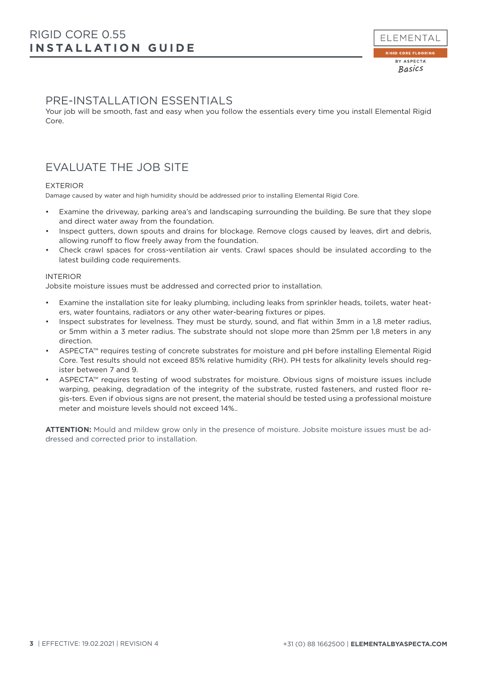## PRE-INSTALLATION ESSENTIALS

Your job will be smooth, fast and easy when you follow the essentials every time you install Elemental Rigid Core.

## EVALUATE THE JOB SITE

## EXTERIOR

Damage caused by water and high humidity should be addressed prior to installing Elemental Rigid Core.

- Examine the driveway, parking area's and landscaping surrounding the building. Be sure that they slope and direct water away from the foundation.
- Inspect gutters, down spouts and drains for blockage. Remove clogs caused by leaves, dirt and debris, allowing runoff to flow freely away from the foundation.
- Check crawl spaces for cross-ventilation air vents. Crawl spaces should be insulated according to the latest building code requirements.

#### INTERIOR

Jobsite moisture issues must be addressed and corrected prior to installation.

- Examine the installation site for leaky plumbing, including leaks from sprinkler heads, toilets, water heaters, water fountains, radiators or any other water-bearing fixtures or pipes.
- Inspect substrates for levelness. They must be sturdy, sound, and flat within 3mm in a 1,8 meter radius, or 5mm within a 3 meter radius. The substrate should not slope more than 25mm per 1,8 meters in any direction.
- ASPECTA™ requires testing of concrete substrates for moisture and pH before installing Elemental Rigid Core. Test results should not exceed 85% relative humidity (RH). PH tests for alkalinity levels should register between 7 and 9.
- ASPECTA™ requires testing of wood substrates for moisture. Obvious signs of moisture issues include warping, peaking, degradation of the integrity of the substrate, rusted fasteners, and rusted floor regis-ters. Even if obvious signs are not present, the material should be tested using a professional moisture meter and moisture levels should not exceed 14%..

**ATTENTION:** Mould and mildew grow only in the presence of moisture. Jobsite moisture issues must be addressed and corrected prior to installation.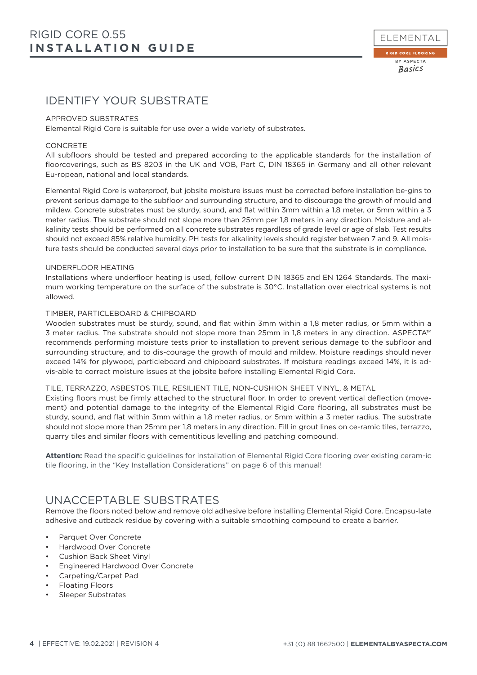

## IDENTIFY YOUR SUBSTRATE

#### APPROVED SUBSTRATES

Elemental Rigid Core is suitable for use over a wide variety of substrates.

#### CONCRETE

All subfloors should be tested and prepared according to the applicable standards for the installation of floorcoverings, such as BS 8203 in the UK and VOB, Part C, DIN 18365 in Germany and all other relevant Eu-ropean, national and local standards.

Elemental Rigid Core is waterproof, but jobsite moisture issues must be corrected before installation be-gins to prevent serious damage to the subfloor and surrounding structure, and to discourage the growth of mould and mildew. Concrete substrates must be sturdy, sound, and flat within 3mm within a 1,8 meter, or 5mm within a 3 meter radius. The substrate should not slope more than 25mm per 1,8 meters in any direction. Moisture and alkalinity tests should be performed on all concrete substrates regardless of grade level or age of slab. Test results should not exceed 85% relative humidity. PH tests for alkalinity levels should register between 7 and 9. All moisture tests should be conducted several days prior to installation to be sure that the substrate is in compliance.

#### UNDERFLOOR HEATING

Installations where underfloor heating is used, follow current DIN 18365 and EN 1264 Standards. The maximum working temperature on the surface of the substrate is 30°C. Installation over electrical systems is not allowed.

## TIMBER, PARTICLEBOARD & CHIPBOARD

Wooden substrates must be sturdy, sound, and flat within 3mm within a 1,8 meter radius, or 5mm within a 3 meter radius. The substrate should not slope more than 25mm in 1,8 meters in any direction. ASPECTA™ recommends performing moisture tests prior to installation to prevent serious damage to the subfloor and surrounding structure, and to dis-courage the growth of mould and mildew. Moisture readings should never exceed 14% for plywood, particleboard and chipboard substrates. If moisture readings exceed 14%, it is advis-able to correct moisture issues at the jobsite before installing Elemental Rigid Core.

#### TILE, TERRAZZO, ASBESTOS TILE, RESILIENT TILE, NON-CUSHION SHEET VINYL, & METAL

Existing floors must be firmly attached to the structural floor. In order to prevent vertical deflection (movement) and potential damage to the integrity of the Elemental Rigid Core flooring, all substrates must be sturdy, sound, and flat within 3mm within a 1,8 meter radius, or 5mm within a 3 meter radius. The substrate should not slope more than 25mm per 1,8 meters in any direction. Fill in grout lines on ce-ramic tiles, terrazzo, quarry tiles and similar floors with cementitious levelling and patching compound.

**Attention:** Read the specific guidelines for installation of Elemental Rigid Core flooring over existing ceram-ic tile flooring, in the "Key Installation Considerations" on page 6 of this manual!

## UNACCEPTABLE SUBSTRATES

Remove the floors noted below and remove old adhesive before installing Elemental Rigid Core. Encapsu-late adhesive and cutback residue by covering with a suitable smoothing compound to create a barrier.

- Parquet Over Concrete
- Hardwood Over Concrete
- Cushion Back Sheet Vinyl
- Engineered Hardwood Over Concrete
- Carpeting/Carpet Pad
- Floating Floors
- Sleeper Substrates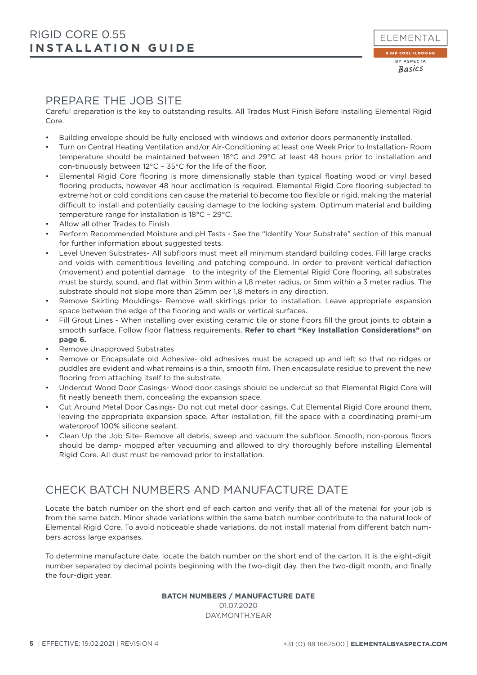## PREPARE THE JOB SITE

Careful preparation is the key to outstanding results. All Trades Must Finish Before Installing Elemental Rigid Core.

- Building envelope should be fully enclosed with windows and exterior doors permanently installed.
- Turn on Central Heating Ventilation and/or Air-Conditioning at least one Week Prior to Installation- Room temperature should be maintained between 18°C and 29°C at least 48 hours prior to installation and con-tinuously between 12°C – 35°C for the life of the floor.
- Elemental Rigid Core flooring is more dimensionally stable than typical floating wood or vinyl based flooring products, however 48 hour acclimation is required. Elemental Rigid Core flooring subjected to extreme hot or cold conditions can cause the material to become too flexible or rigid, making the material difficult to install and potentially causing damage to the locking system. Optimum material and building temperature range for installation is 18°C – 29°C.
- Allow all other Trades to Finish
- Perform Recommended Moisture and pH Tests See the "Identify Your Substrate" section of this manual for further information about suggested tests.
- Level Uneven Substrates- All subfloors must meet all minimum standard building codes. Fill large cracks and voids with cementitious levelling and patching compound. In order to prevent vertical deflection (movement) and potential damage to the integrity of the Elemental Rigid Core flooring, all substrates must be sturdy, sound, and flat within 3mm within a 1,8 meter radius, or 5mm within a 3 meter radius. The substrate should not slope more than 25mm per 1,8 meters in any direction.
- Remove Skirting Mouldings- Remove wall skirtings prior to installation. Leave appropriate expansion space between the edge of the flooring and walls or vertical surfaces.
- Fill Grout Lines When installing over existing ceramic tile or stone floors fill the grout joints to obtain a smooth surface. Follow floor flatness requirements. **Refer to chart "Key Installation Considerations" on page 6.**
- Remove Unapproved Substrates
- Remove or Encapsulate old Adhesive- old adhesives must be scraped up and left so that no ridges or puddles are evident and what remains is a thin, smooth film. Then encapsulate residue to prevent the new flooring from attaching itself to the substrate.
- Undercut Wood Door Casings- Wood door casings should be undercut so that Elemental Rigid Core will fit neatly beneath them, concealing the expansion space.
- Cut Around Metal Door Casings- Do not cut metal door casings. Cut Elemental Rigid Core around them, leaving the appropriate expansion space. After installation, fill the space with a coordinating premi-um waterproof 100% silicone sealant.
- Clean Up the Job Site- Remove all debris, sweep and vacuum the subfloor. Smooth, non-porous floors should be damp- mopped after vacuuming and allowed to dry thoroughly before installing Elemental Rigid Core. All dust must be removed prior to installation.

## CHECK BATCH NUMBERS AND MANUFACTURE DATE

Locate the batch number on the short end of each carton and verify that all of the material for your job is from the same batch. Minor shade variations within the same batch number contribute to the natural look of Elemental Rigid Core. To avoid noticeable shade variations, do not install material from different batch numbers across large expanses.

To determine manufacture date, locate the batch number on the short end of the carton. It is the eight-digit number separated by decimal points beginning with the two-digit day, then the two-digit month, and finally the four-digit year.

## **BATCH NUMBERS / MANUFACTURE DATE**

01.07.2020 DAY.MONTH.YEAR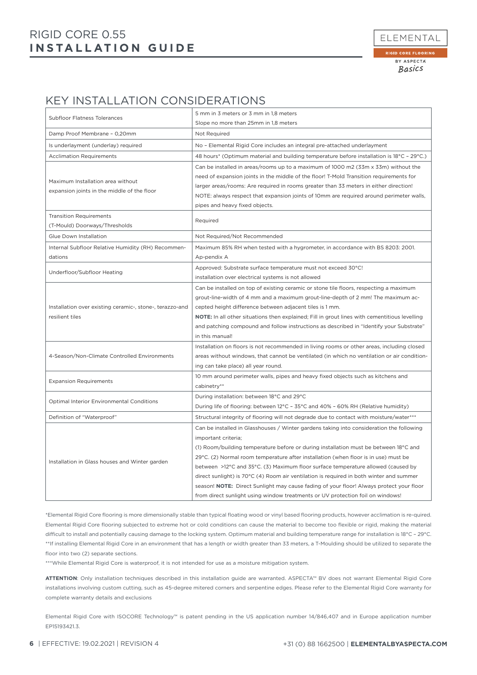## **INSTALLATION GUIDE** RIGID CORE 0.55



## KEY INSTALLATION CONSIDERATIONS

| Subfloor Flatness Tolerances                                                     | 5 mm in 3 meters or 3 mm in 1,8 meters                                                                                                                                                                                                                                                                                                                                                                                                                                                                                                                                   |
|----------------------------------------------------------------------------------|--------------------------------------------------------------------------------------------------------------------------------------------------------------------------------------------------------------------------------------------------------------------------------------------------------------------------------------------------------------------------------------------------------------------------------------------------------------------------------------------------------------------------------------------------------------------------|
|                                                                                  | Slope no more than 25mm in 1,8 meters                                                                                                                                                                                                                                                                                                                                                                                                                                                                                                                                    |
| Damp Proof Membrane - 0,20mm                                                     | Not Required                                                                                                                                                                                                                                                                                                                                                                                                                                                                                                                                                             |
| Is underlayment (underlay) required                                              | No - Elemental Rigid Core includes an integral pre-attached underlayment                                                                                                                                                                                                                                                                                                                                                                                                                                                                                                 |
| <b>Acclimation Requirements</b>                                                  | 48 hours* (Optimum material and building temperature before installation is 18°C - 29°C.)                                                                                                                                                                                                                                                                                                                                                                                                                                                                                |
| Maximum Installation area without<br>expansion joints in the middle of the floor | Can be installed in areas/rooms up to a maximum of 1000 m2 (33m x 33m) without the<br>need of expansion joints in the middle of the floor! T-Mold Transition requirements for<br>larger areas/rooms: Are required in rooms greater than 33 meters in either direction!<br>NOTE: always respect that expansion joints of 10mm are required around perimeter walls,<br>pipes and heavy fixed objects.                                                                                                                                                                      |
| <b>Transition Requirements</b>                                                   | Required                                                                                                                                                                                                                                                                                                                                                                                                                                                                                                                                                                 |
| (T-Mould) Doorways/Thresholds                                                    |                                                                                                                                                                                                                                                                                                                                                                                                                                                                                                                                                                          |
| Glue Down Installation                                                           | Not Required/Not Recommended                                                                                                                                                                                                                                                                                                                                                                                                                                                                                                                                             |
| Internal Subfloor Relative Humidity (RH) Recommen-<br>dations                    | Maximum 85% RH when tested with a hygrometer, in accordance with BS 8203: 2001.<br>Ap-pendix A                                                                                                                                                                                                                                                                                                                                                                                                                                                                           |
| Underfloor/Subfloor Heating                                                      | Approved: Substrate surface temperature must not exceed 30°C!<br>installation over electrical systems is not allowed                                                                                                                                                                                                                                                                                                                                                                                                                                                     |
| Installation over existing ceramic-, stone-, terazzo-and<br>resilient tiles      | Can be installed on top of existing ceramic or stone tile floors, respecting a maximum<br>grout-line-width of 4 mm and a maximum grout-line-depth of 2 mm! The maximum ac-<br>cepted height difference between adjacent tiles is 1 mm.<br>NOTE: In all other situations then explained; Fill in grout lines with cementitious levelling<br>and patching compound and follow instructions as described in "Identify your Substrate"<br>in this manual!                                                                                                                    |
| 4-Season/Non-Climate Controlled Environments                                     | Installation on floors is not recommended in living rooms or other areas, including closed<br>areas without windows, that cannot be ventilated (in which no ventilation or air condition-<br>ing can take place) all year round.                                                                                                                                                                                                                                                                                                                                         |
| <b>Expansion Requirements</b>                                                    | 10 mm around perimeter walls, pipes and heavy fixed objects such as kitchens and<br>cabinetry**                                                                                                                                                                                                                                                                                                                                                                                                                                                                          |
| <b>Optimal Interior Environmental Conditions</b>                                 | During installation: between 18°C and 29°C<br>During life of flooring: between 12°C - 35°C and 40% - 60% RH (Relative humidity)                                                                                                                                                                                                                                                                                                                                                                                                                                          |
| Definition of "Waterproof"                                                       | Structural integrity of flooring will not degrade due to contact with moisture/water***                                                                                                                                                                                                                                                                                                                                                                                                                                                                                  |
| Installation in Glass houses and Winter garden                                   | Can be installed in Glasshouses / Winter gardens taking into consideration the following<br>important criteria;<br>(1) Room/building temperature before or during installation must be between 18°C and<br>29°C. (2) Normal room temperature after installation (when floor is in use) must be<br>between >12°C and 35°C. (3) Maximum floor surface temperature allowed (caused by<br>direct sunlight) is 70°C (4) Room air ventilation is required in both winter and summer<br>season! NOTE: Direct Sunlight may cause fading of your floor! Always protect your floor |
|                                                                                  | from direct sunlight using window treatments or UV protection foil on windows!                                                                                                                                                                                                                                                                                                                                                                                                                                                                                           |

\*Elemental Rigid Core flooring is more dimensionally stable than typical floating wood or vinyl based flooring products, however acclimation is re-quired. Elemental Rigid Core flooring subjected to extreme hot or cold conditions can cause the material to become too flexible or rigid, making the material difficult to install and potentially causing damage to the locking system. Optimum material and building temperature range for installation is 18°C – 29°C. \*\*If installing Elemental Rigid Core in an environment that has a length or width greater than 33 meters, a T-Moulding should be utilized to separate the floor into two (2) separate sections.

\*\*\*While Elemental Rigid Core is waterproof, it is not intended for use as a moisture mitigation system.

**ATTENTION**: Only installation techniques described in this installation guide are warranted. ASPECTA™ BV does not warrant Elemental Rigid Core installations involving custom cutting, such as 45-degree mitered corners and serpentine edges. Please refer to the Elemental Rigid Core warranty for complete warranty details and exclusions

Elemental Rigid Core with ISOCORE Technology™ is patent pending in the US application number 14/846,407 and in Europe application number EP15193421.3.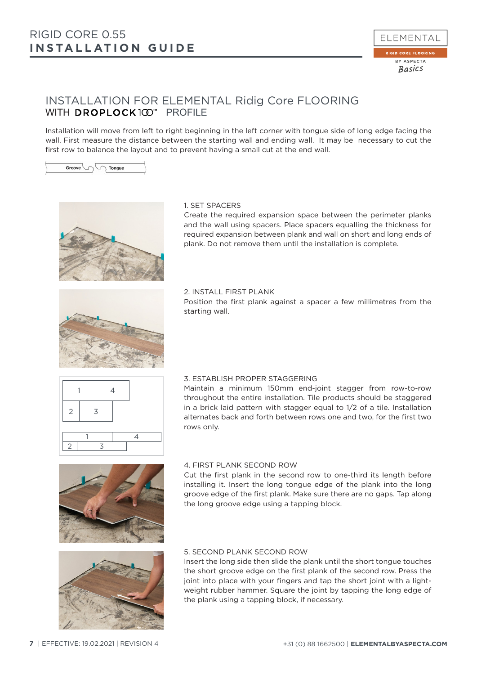

## INSTALLATION FOR ELEMENTAL Ridig Core FLOORING WITH DROPLOCK100<sup>\*</sup> PROFILE

Installation will move from left to right beginning in the left corner with tongue side of long edge facing the wall. First measure the distance between the starting wall and ending wall. It may be necessary to cut the first row to balance the layout and to prevent having a small cut at the end wall.





## 1. SET SPACERS

Create the required expansion space between the perimeter planks and the wall using spacers. Place spacers equalling the thickness for required expansion between plank and wall on short and long ends of plank. Do not remove them until the installation is complete.

## 2. INSTALL FIRST PLANK

Position the first plank against a spacer a few millimetres from the starting wall.



## 3. ESTABLISH PROPER STAGGERING

Maintain a minimum 150mm end-joint stagger from row-to-row throughout the entire installation. Tile products should be staggered in a brick laid pattern with stagger equal to 1/2 of a tile. Installation alternates back and forth between rows one and two, for the first two rows only.



1 4

2 3

 $2 \mid 3$ 

## 4. FIRST PLANK SECOND ROW

Cut the first plank in the second row to one-third its length before installing it. Insert the long tongue edge of the plank into the long groove edge of the first plank. Make sure there are no gaps. Tap along the long groove edge using a tapping block.



## 5. SECOND PLANK SECOND ROW

Insert the long side then slide the plank until the short tongue touches the short groove edge on the first plank of the second row. Press the joint into place with your fingers and tap the short joint with a lightweight rubber hammer. Square the joint by tapping the long edge of the plank using a tapping block, if necessary.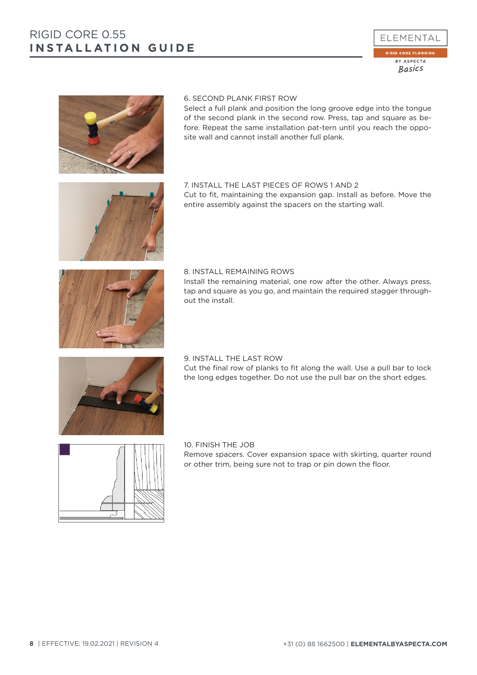



## 6. SECOND PLANK FIRST ROW

Select a full plank and position the long groove edge into the tongue of the second plank in the second row. Press, tap and square as before. Repeat the same installation pat-tern until you reach the opposite wall and cannot install another full plank.

#### 7. INSTALL THE LAST PIECES OF ROWS 1 AND 2 Cut to fit, maintaining the expansion gap. Install as before. Move the

entire assembly against the spacers on the starting wall.



## 8. INSTALL REMAINING ROWS Install the remaining material, one row after the other. Always press, tap and square as you go, and maintain the required stagger throughout the install.



## 9. INSTALL THE LAST ROW Cut the final row of planks to fit along the wall. Use a pull bar to lock the long edges together. Do not use the pull bar on the short edges.



## 10. FINISH THE JOB Remove spacers. Cover expansion space with skirting, quarter round or other trim, being sure not to trap or pin down the floor.